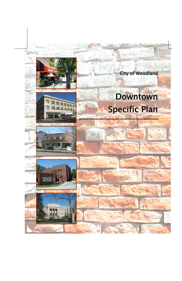







ļ

City of Woodland

# Downtown Specific Plan

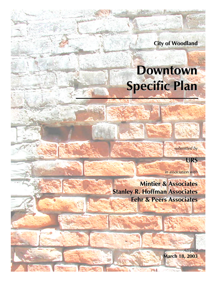**City of Woodland**

# **Downtown Specific Plan**

*submitted by*

**URS**

*in association with*

**Mintier & Associates Stanley R. Hoffman Associates Fehr & Peers Associates**

> *Adopted* **March 18, 2003**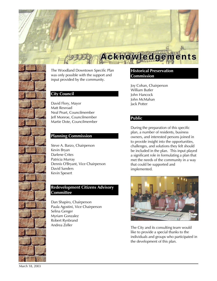The Woodland Downtown Specific Plan was only possible with the support and input provided by the community.

#### **City Council**

David Flory, Mayor Matt Rexroad Neal Peart, Councilmember Jeff Monroe, Councilmember Martie Dote, Councilmember

#### **Planning Commission**

Steve A. Barzo, Chairperson Kevin Bryan Darlene Crites Patricia Murray Dennis O'Bryant, Vice Chairperson David Sanders Kevin Spesert

#### **Redevelopment Citizens Advisory Committee**

Dan Shapiro, Chairperson Paula Agostini, Vice Chairperson Selina Genger Myriam Gonzalez Robert Rynbrand Andrea Zeller

#### **Historical Preservation Commission**

**Acknowlledgements**

Joy Cohan, Chairperson William Butler John Hancock John McMahan Jack Potter

#### **Public**

During the preparation of this specific plan, a number of residents, business owners, and interested persons joined in to provide insight into the opportunities, challenges, and solutions they felt should be included in the plan. This input played a significant role in formulating a plan that met the needs of the community in a way that could be supported and implemented.



The City and its consulting team would like to provide a special thanks to the individuals and groups who participated in the development of this plan.

March 18, 2003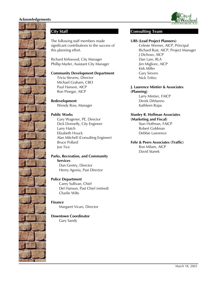



#### **City Staff**

The following staff members made significant contributions to the success of this planning effort.

Richard Kirkwood, City Manager Phillip Marler, Assistant City Manager

#### **Community Development Department**

Tricia Stevens, Director Michael Graham, CBO Paul Hanson, AICP Ron Pinegar, AICP

**Redevelopment** Wendy Ross, Manager

#### **Public Works**

Gary Wagener, PE, Director Dick Donnelly, City Engineer Larry Hatch Elizabeth Houck Alan Mitchell (Consulting Engineer) Bruce Pollard Jon Tice

#### **Parks, Recreation, and Community Services**

Dan Gentry, Director Henry Agonia, Past Director

#### **Police Department**

Carey Sullivan, Chief Del Hanson, Past Chief (retired) Charlie Wilts

**Finance** Margaret Vicars, Director

#### **Downtown Coordinator**

Gary Sandy

#### **Consulting Team**

#### **URS (Lead Project Planners)**

Celeste Werner, AICP, Principal Richard Rust, AICP, Project Manager J Dichoso, AICP Dan Lare, RLA Jim Migliore, AICP Kirk Miller Gary Sievers Nick Trifiro

#### **J. Laurence Mintier & Associates (Planning)**

Larry Mintier, FAICP Derek DiManno Kathleen Rojas

#### **Stanley R. Hoffman Associates**

**(Marketing and Fiscal)** Stan Hoffman, FAICP Robert Goldman Debbie Lawrence

### **Fehr & Peers Associates (Traffic)**

Ron Milam, AICP David Stanek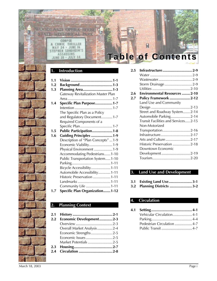#### **1. Introduction**

CORPSE COMIC THRILLER

MAY 24 - JUNE 16<br>STEPHEN SONDHEIM'S **ASSASSINS** JUNE 28 - JULY

**AND OPERA HOUSE** 

| 1.1 |                                       |
|-----|---------------------------------------|
| 1.2 | Background 1-3                        |
| 1.3 | Planning Area1-3                      |
|     | Gateway Revitalization Master Plan    |
|     |                                       |
| 1.4 | Specific Plan Purpose1-7              |
|     |                                       |
|     | The Specific Plan as a Policy         |
|     | and Regulatory Document1-7            |
|     | Required Components of a              |
|     | Specific Plan1-7                      |
| 1.5 | Public Participation1-8               |
| 1.6 | <b>Guiding Principles  1-9</b>        |
|     | Description of "Plan Concepts"  1-9   |
|     | Economic Viability1-9                 |
|     | Physical Environment 1-9              |
|     | Accommodating Pedestrians1-10         |
|     | Public Transportation System1-10      |
|     |                                       |
|     | Bicycle Accessibility1-11             |
|     | Automobile Accessibility1-11          |
|     | Historic Preservation 1-11            |
|     | Landmarks 1-11                        |
|     | Community Life 1-11                   |
| 1.7 | <b>Specific Plan Organization1-12</b> |

#### **2. Planning Context**

| 2.1     |                            |  |
|---------|----------------------------|--|
| $2.2\,$ | Economic Development2-3    |  |
|         |                            |  |
|         | Overall Market Analysis2-4 |  |
|         | Economic Strengths2-5      |  |
|         | Economic Issues 2-5        |  |
|         | Market Potentials 2-5      |  |
| 2.3     |                            |  |
| 2.4     |                            |  |

# **Table of Contents**

R

**2.5 Infrastructure.............................2-9** Water .........................................2-9 Wastewater.................................2-9 Storm Drainage...........................2-9 Utilities .....................................2-10 **2.6 Environmental Resources ........2-10 2.7 Policy Framework ....................2-12** Land Use and Community Design ......................................2-13 Street and Roadway System.......2-14 Automobile Parking...................2-14 Transit Facilities and Services.....2-15 Non-Motorized Transportation...........................2-16 Infrastructure.............................2-17 Arts and Culture........................2-17 Historic Preservation .................2-18 Downtown Economic Development............................2-19 Tourism.....................................2-20

#### **3. Land Use and Development**

|  |  |  |  | 3.1 Existing Land Use3-1 |  |
|--|--|--|--|--------------------------|--|
|--|--|--|--|--------------------------|--|

**3.2 Planning Districts ......................3-2**

#### **4. Circulation**

| Vehicular Circulation 4-1   |  |
|-----------------------------|--|
|                             |  |
| Pedestrian Circulation  4-7 |  |
|                             |  |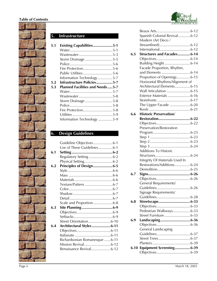#### **Table of Contents**





#### **5. Infrastructure**

| Storm Drainage5-5                      |
|----------------------------------------|
|                                        |
| Fire Protection5-6                     |
| Public Utilities5-6                    |
| Information Technology 5-7             |
| Infrastructure Policies5-7             |
| <b>Planned Facilities and Needs5-7</b> |
|                                        |
|                                        |
|                                        |
|                                        |
| Storm Drainage 5-8                     |
|                                        |
|                                        |
|                                        |

## **6. Design Guidelines**

|     | Guideline Objectives6-1       |  |
|-----|-------------------------------|--|
|     | Use of These Guidelines6-1    |  |
| 6.1 |                               |  |
|     | Regulatory Setting 6-2        |  |
|     |                               |  |
| 6.2 | Principles of Design6-5       |  |
|     |                               |  |
|     |                               |  |
|     |                               |  |
|     | Texture/Pattern 6-7           |  |
|     |                               |  |
|     |                               |  |
|     |                               |  |
|     | Scale and Proportion6-8       |  |
| 6.3 |                               |  |
|     |                               |  |
|     |                               |  |
|     | Street Orientation6-10        |  |
| 6.4 | Architectural Styles 6-11     |  |
|     |                               |  |
|     |                               |  |
|     | Richardsonian Romanesque 6-11 |  |
|     | Mission Revival6-12           |  |
|     | Renaissance Revival6-12       |  |
|     |                               |  |

|      | Spanish Colonial Revival 6-12      |  |
|------|------------------------------------|--|
|      | Modern (Art Deco /                 |  |
|      | Streamlined)6-12                   |  |
|      |                                    |  |
| 6.5  | <b>Structures and Facades 6-14</b> |  |
|      |                                    |  |
|      | Building Height6-14                |  |
|      | Facade Proportion, Rhythm,         |  |
|      | and Elements  6-14                 |  |
|      | Proportion of Openings 6-15        |  |
|      | Horizontal Rhythms/Alignment of    |  |
|      | Architectural Elements 6-15        |  |
|      | Wall Articulation 6-15             |  |
|      |                                    |  |
|      | Exterior Materials  6-16           |  |
|      |                                    |  |
|      | The Upper Facade  6-20             |  |
|      |                                    |  |
| 6.6  | <b>Historic Preservation/</b>      |  |
|      |                                    |  |
|      |                                    |  |
|      | Preservation/Restoration           |  |
|      |                                    |  |
|      |                                    |  |
|      |                                    |  |
|      |                                    |  |
|      | <b>Additions To Historic</b>       |  |
|      |                                    |  |
|      | Integrity Of Materials Used In     |  |
|      | Restorations/Additions 6-24        |  |
|      |                                    |  |
| 6.7  |                                    |  |
|      |                                    |  |
|      | General Requirements/              |  |
|      |                                    |  |
|      | Signage Requirements/              |  |
|      |                                    |  |
| 6.8  |                                    |  |
|      |                                    |  |
|      | Pedestrian Walkways6-33            |  |
|      |                                    |  |
| 6.9  | Street Furniture  6-33             |  |
|      | Landscaping 6-36                   |  |
|      |                                    |  |
|      | General Landscaping                |  |
|      |                                    |  |
|      |                                    |  |
|      |                                    |  |
| 6.10 | Equipment Screening 6-39           |  |
|      |                                    |  |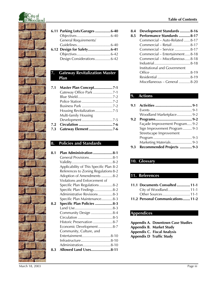

| 6.11 Parking Lots/Garages 6-40 |  |
|--------------------------------|--|
|                                |  |
| <b>General Requirements/</b>   |  |
|                                |  |
|                                |  |
|                                |  |

Design Considerations...............6-42

#### **7. Gateway Revitalization Master Plan**

| 7.1 |                            |
|-----|----------------------------|
|     | Gateway Office Park 7-1    |
|     |                            |
|     |                            |
|     |                            |
|     |                            |
|     | Multi-family Housing       |
|     | Development7-5             |
| 7.2 |                            |
| 7.3 | <b>Gateway Element 7-6</b> |

#### **8. Policies and Standards**

| 8.1 | Plan Administration 8-1                 |
|-----|-----------------------------------------|
|     | General Provisions8-1                   |
|     |                                         |
|     | Applicability of This Specific Plan 8-2 |
|     | References to Zoning Regulations 8-2    |
|     | Adoption of Amendments 8-2              |
|     | Violations and Enforcement of           |
|     | Specific Plan Regulations8-2            |
|     | Specific Plan Findings8-2               |
|     | Administrative Revisions8-3             |
|     | Specific Plan Maintenance8-3            |
| 8.2 | Specific Plan Policies 8-3              |
|     |                                         |
|     | Community Design 8-4                    |
|     |                                         |
|     | Historic Preservation 8-7               |
|     | Economic Development8-7                 |
|     | Community, Culture, and                 |
|     | Entertainment8-10                       |
|     | Infrastructure8-10                      |
|     | Administration8-10                      |
| 8.3 | Allowed Land Uses8-11                   |
|     |                                         |

#### **Table of Contents**

**8.4 Development Standards ..........8-16**

| 8.5 | <b>Performance Standards  8-17</b> |
|-----|------------------------------------|
|     | Commercial - Auto-Related  8-17    |
|     | Commercial - Retail 8-17           |
|     | Commercial - Service  8-17         |
|     | Commercial – Entertainment 8-18    |
|     | Commercial – Miscellaneous  8-18   |
|     |                                    |
|     | Institutional and Government       |
|     |                                    |
|     |                                    |
|     | Miscellaneous – General 8-20       |

#### **9. Actions**

| 9.1 |                                |
|-----|--------------------------------|
|     |                                |
|     | Woodland Marketplace9-2        |
| 9.2 |                                |
|     | Façade Improvement Program 9-2 |
|     | Sign Improvement Program  9-3  |
|     | Streetscape Improvement        |
|     |                                |
|     | Marketing Materials9-3         |
| 9.3 | Recommended Projects  9-3      |

### **10. Glossary**

#### **11. References**

| 11.1 Documents Consulted  11-1    |  |
|-----------------------------------|--|
| City of Woodland11-1              |  |
|                                   |  |
| 11.2 Personal Communications 11-2 |  |

#### **Appendices**

**Appendix A. Downtown Case Studies Appendix B. Market Study Appendix C. Fiscal Analysis Appendix D Traffic Study**